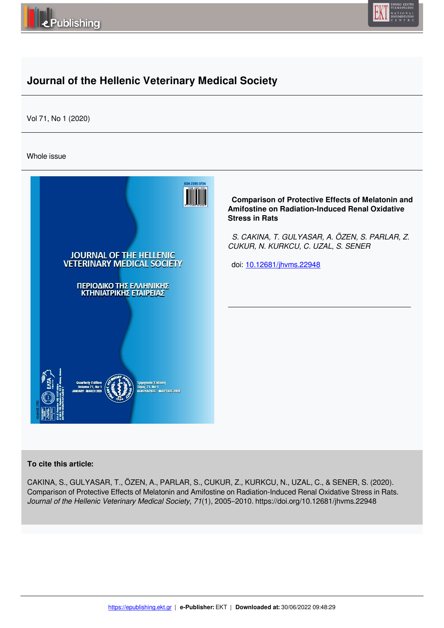



# **Journal of the Hellenic Veterinary Medical Society**

Vol 71, No 1 (2020)

Whole issue



## **To cite this article:**

CAKINA, S., GULYASAR, T., ÖZEN, A., PARLAR, S., CUKUR, Z., KURKCU, N., UZAL, C., & SENER, S. (2020). Comparison of Protective Effects of Melatonin and Amifostine on Radiation-Induced Renal Oxidative Stress in Rats. *Journal of the Hellenic Veterinary Medical Society*, *71*(1), 2005–2010. https://doi.org/10.12681/jhvms.22948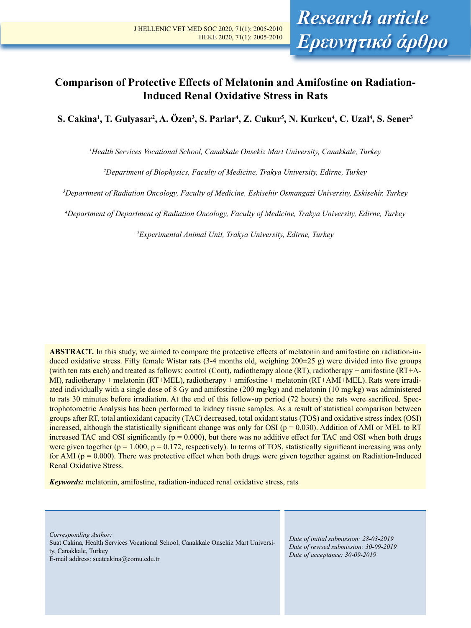## **Comparison of Protective Effects of Melatonin and Amifostine on Radiation-Induced Renal Oxidative Stress in Rats**

**S. Cakina1 , T. Gulyasar2 , A. Özen3 , S. Parlar4 , Z. Cukur5 , N. Kurkcu4 , C. Uzal4 , S. Sener3**

*1 Health Services Vocational School, Canakkale Onsekiz Mart University, Canakkale, Turkey* 

*2 Department of Biophysics, Faculty of Medicine, Trakya University, Edirne, Turkey*

*3 Department of Radiation Oncology, Faculty of Medicine, Eskisehir Osmangazi University, Eskisehir, Turkey*

*4 Department of Department of Radiation Oncology, Faculty of Medicine, Trakya University, Edirne, Turkey*

*5 Experimental Animal Unit, Trakya University, Edirne, Turkey*

**ABSTRACT.** In this study, we aimed to compare the protective effects of melatonin and amifostine on radiation-induced oxidative stress. Fifty female Wistar rats (3-4 months old, weighing 200±25 g) were divided into five groups (with ten rats each) and treated as follows: control (Cont), radiotherapy alone (RT), radiotherapy + amifostine (RT+A-MI), radiotherapy + melatonin (RT+MEL), radiotherapy + amifostine + melatonin (RT+AMI+MEL). Rats were irradiated individually with a single dose of 8 Gy and amifostine (200 mg/kg) and melatonin (10 mg/kg) was administered to rats 30 minutes before irradiation. At the end of this follow-up period (72 hours) the rats were sacrificed. Spectrophotometric Analysis has been performed to kidney tissue samples. As a result of statistical comparison between groups after RT, total antioxidant capacity (TAC) decreased, total oxidant status (TOS) and oxidative stress index (OSI) increased, although the statistically significant change was only for OSI ( $p = 0.030$ ). Addition of AMI or MEL to RT increased TAC and OSI significantly ( $p = 0.000$ ), but there was no additive effect for TAC and OSI when both drugs were given together ( $p = 1.000$ ,  $p = 0.172$ , respectively). In terms of TOS, statistically significant increasing was only for AMI ( $p = 0.000$ ). There was protective effect when both drugs were given together against on Radiation-Induced Renal Oxidative Stress.

*Keywords:* melatonin, amifostine, radiation-induced renal oxidative stress, rats

*Corresponding Author:*  Suat Cakina, Health Services Vocational School, Canakkale Onsekiz Mart University, Canakkale, Turkey E-mail address: suatcakina@comu.edu.tr

*Date of initial submission: 28-03-2019 Date of revised submission: 30-09-2019 Date of acceptance: 30-09-2019*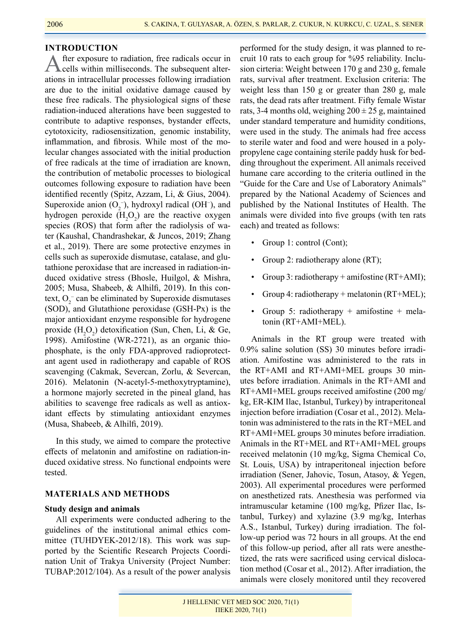## **INTRODUCTION**

After exposure to radiation, free radicals occur in cells within milliseconds. The subsequent alterations in intracellular processes following irradiation are due to the initial oxidative damage caused by these free radicals. The physiological signs of these radiation-induced alterations have been suggested to contribute to adaptive responses, bystander effects, cytotoxicity, radiosensitization, genomic instability, inflammation, and fibrosis. While most of the molecular changes associated with the initial production of free radicals at the time of irradiation are known, the contribution of metabolic processes to biological outcomes following exposure to radiation have been identified recently (Spitz, Azzam, Li, & Gius, 2004). Superoxide anion  $(O_2^-)$ , hydroxyl radical (OH<sup>-</sup>), and hydrogen peroxide  $(H_2O_2)$  are the reactive oxygen species (ROS) that form after the radiolysis of water (Kaushal, Chandrashekar, & Juncos, 2019; Zhang et al., 2019). There are some protective enzymes in cells such as superoxide dismutase, catalase, and glutathione peroxidase that are increased in radiation-induced oxidative stress (Bhosle, Huilgol, & Mishra, 2005; Musa, Shabeeb, & Alhilfi, 2019). In this context,  $O_2^-$  can be eliminated by Superoxide dismutases (SOD), and Glutathione peroxidase (GSH-Px) is the major antioxidant enzyme responsible for hydrogene proxide  $(H_2O_2)$  detoxification (Sun, Chen, Li, & Ge, 1998). Amifostine (WR-2721), as an organic thiophosphate, is the only FDA-approved radioprotectant agent used in radiotherapy and capable of ROS scavenging (Cakmak, Severcan, Zorlu, & Severcan, 2016). Melatonin (N-acetyl-5-methoxytryptamine), a hormone majorly secreted in the pineal gland, has abilities to scavenge free radicals as well as antioxidant effects by stimulating antioxidant enzymes (Musa, Shabeeb, & Alhilfi, 2019).

In this study, we aimed to compare the protective effects of melatonin and amifostine on radiation-induced oxidative stress. No functional endpoints were tested.

## **MATERIALS AND METHODS**

## **Study design and animals**

All experiments were conducted adhering to the guidelines of the institutional animal ethics committee (TUHDYEK-2012/18). This work was supported by the Scientific Research Projects Coordination Unit of Trakya University (Project Number: TUBAP:2012/104). As a result of the power analysis

performed for the study design, it was planned to recruit 10 rats to each group for %95 reliability. Inclusion cirteria: Weight between 170 g and 230 g, female rats, survival after treatment. Exclusion criteria: The weight less than 150 g or greater than 280 g, male rats, the dead rats after treatment. Fifty female Wistar rats, 3-4 months old, weighing  $200 \pm 25$  g, maintained under standard temperature and humidity conditions, were used in the study. The animals had free access to sterile water and food and were housed in a polypropylene cage containing sterile paddy husk for bedding throughout the experiment. All animals received humane care according to the criteria outlined in the "Guide for the Care and Use of Laboratory Animals" prepared by the National Academy of Sciences and published by the National Institutes of Health. The animals were divided into five groups (with ten rats each) and treated as follows:

- Group 1: control (Cont);
- Group 2: radiotherapy alone (RT);
- Group 3: radiotherapy + amifostine (RT+AMI);
- Group 4: radiotherapy + melatonin (RT+MEL);
- Group 5: radiotherapy + amifostine + melatonin (RT+AMI+MEL).

Animals in the RT group were treated with 0.9% saline solution (SS) 30 minutes before irradiation. Amifostine was administered to the rats in the RT+AMI and RT+AMI+MEL groups 30 minutes before irradiation. Animals in the RT+AMI and RT+AMI+MEL groups received amifostine (200 mg/ kg, ER-KIM Ilac, Istanbul, Turkey) by intraperitoneal injection before irradiation (Cosar et al., 2012). Melatonin was administered to the rats in the RT+MEL and RT+AMI+MEL groups 30 minutes before irradiation. Animals in the RT+MEL and RT+AMI+MEL groups received melatonin (10 mg/kg, Sigma Chemical Co, St. Louis, USA) by intraperitoneal injection before irradiation (Sener, Jahovic, Tosun, Atasoy, & Yegen, 2003). All experimental procedures were performed on anesthetized rats. Anesthesia was performed via intramuscular ketamine (100 mg/kg, Pfizer Ilac, Istanbul, Turkey) and xylazine (3.9 mg/kg, Interhas A.S., Istanbul, Turkey) during irradiation. The follow-up period was 72 hours in all groups. At the end of this follow-up period, after all rats were anesthetized, the rats were sacrificed using cervical dislocation method (Cosar et al., 2012). After irradiation, the animals were closely monitored until they recovered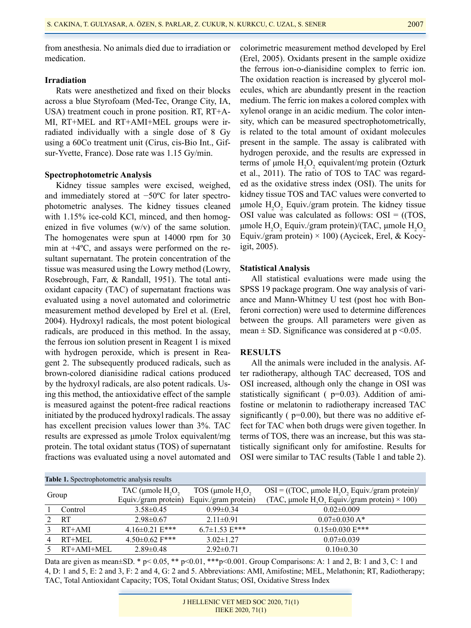from anesthesia. No animals died due to irradiation or medication.

## **Irradiation**

Rats were anesthetized and fixed on their blocks across a blue Styrofoam (Med-Tec, Orange City, IA, USA) treatment couch in prone position. RT, RT+A-MI, RT+MEL and RT+AMI+MEL groups were irradiated individually with a single dose of 8 Gy using a 60Co treatment unit (Cirus, cis-Bio Int., Gifsur-Yvette, France). Dose rate was 1.15 Gy/min.

#### **Spectrophotometric Analysis**

Kidney tissue samples were excised, weighed, and immediately stored at −50ºC for later spectrophotometric analyses. The kidney tissues cleaned with 1.15% ice-cold KCl, minced, and then homogenized in five volumes (w/v) of the same solution. The homogenates were spun at 14000 rpm for 30 min at +4ºC, and assays were performed on the resultant supernatant. The protein concentration of the tissue was measured using the Lowry method (Lowry, Rosebrough, Farr, & Randall, 1951). The total antioxidant capacity (TAC) of supernatant fractions was evaluated using a novel automated and colorimetric measurement method developed by Erel et al. (Erel, 2004). Hydroxyl radicals, the most potent biological radicals, are produced in this method. In the assay, the ferrous ion solution present in Reagent 1 is mixed with hydrogen peroxide, which is present in Reagent 2. The subsequently produced radicals, such as brown-colored dianisidine radical cations produced by the hydroxyl radicals, are also potent radicals. Using this method, the antioxidative effect of the sample is measured against the potent-free radical reactions initiated by the produced hydroxyl radicals. The assay has excellent precision values lower than 3%. TAC results are expressed as μmole Trolox equivalent/mg protein. The total oxidant status (TOS) of supernatant fractions was evaluated using a novel automated and colorimetric measurement method developed by Erel (Erel, 2005). Oxidants present in the sample oxidize the ferrous ion-o-dianisidine complex to ferric ion. The oxidation reaction is increased by glycerol molecules, which are abundantly present in the reaction medium. The ferric ion makes a colored complex with xylenol orange in an acidic medium. The color intensity, which can be measured spectrophotometrically, is related to the total amount of oxidant molecules present in the sample. The assay is calibrated with hydrogen peroxide, and the results are expressed in terms of  $\mu$ mole  $H_2O_2$  equivalent/mg protein (Ozturk et al., 2011). The ratio of TOS to TAC was regarded as the oxidative stress index (OSI). The units for kidney tissue TOS and TAC values were converted to  $\mu$ mole  $H_2O_2$  Equiv./gram protein. The kidney tissue OSI value was calculated as follows:  $OSI = (TOS,$ μmole  $H_2O_2$  Equiv./gram protein)/(TAC, μmole  $H_2O_2$ Equiv./gram protein)  $\times$  100) (Aycicek, Erel, & Kocyigit, 2005).

#### **Statistical Analysis**

All statistical evaluations were made using the SPSS 19 package program. One way analysis of variance and Mann-Whitney U test (post hoc with Bonferoni correction) were used to determine differences between the groups. All parameters were given as mean  $\pm$  SD. Significance was considered at p <0.05.

## **RESULTS**

All the animals were included in the analysis. After radiotherapy, although TAC decreased, TOS and OSI increased, although only the change in OSI was statistically significant ( $p=0.03$ ). Addition of amifostine or melatonin to radiotherapy increased TAC significantly  $( p=0.00)$ , but there was no additive effect for TAC when both drugs were given together. In terms of TOS, there was an increase, but this was statistically significant only for amifostine. Results for OSI were similar to TAC results (Table 1 and table 2).

| Table 1. Spectrophotometric analysis results |            |                                                |                      |                                                                       |  |  |  |  |  |
|----------------------------------------------|------------|------------------------------------------------|----------------------|-----------------------------------------------------------------------|--|--|--|--|--|
| Group                                        |            | TAC ( $\mu$ mole H <sub>2</sub> O <sub>2</sub> | TOS (µmole $H2O2$    | $OSI = ((TOC, \mu mole H, O, Equiv./gram protein)/$                   |  |  |  |  |  |
|                                              |            | Equiv./gram protein)                           | Equiv./gram protein) | (TAC, µmole H <sub>2</sub> O <sub>2</sub> Equiv./gram protein) × 100) |  |  |  |  |  |
|                                              | Control    | $3.58 \pm 0.45$                                | $0.99 \pm 0.34$      | $0.02 \pm 0.009$                                                      |  |  |  |  |  |
|                                              | <b>RT</b>  | $2.98 \pm 0.67$                                | $2.11 \pm 0.91$      | $0.07 \pm 0.030$ A*                                                   |  |  |  |  |  |
|                                              | $RT+AMI$   | $4.16 \pm 0.21$ E***                           | $6.7\pm1.53$ E***    | $0.15 \pm 0.030$ E***                                                 |  |  |  |  |  |
| 4                                            | $RT+MEL$   | $4.50 \pm 0.62$ F***                           | $3.02 \pm 1.27$      | $0.07 \pm 0.039$                                                      |  |  |  |  |  |
|                                              | RT+AMI+MEL | $2.89 \pm 0.48$                                | $2.92 \pm 0.71$      | $0.10 \pm 0.30$                                                       |  |  |  |  |  |
|                                              |            |                                                |                      |                                                                       |  |  |  |  |  |

Data are given as mean $\pm$ SD. \* p $\leq$  0.05, \*\* p $\leq$ 0.01, \*\*\* p $\leq$ 0.001. Group Comparisons: A: 1 and 2, B: 1 and 3, C: 1 and 4, D: 1 and 5, E: 2 and 3, F: 2 and 4, G: 2 and 5. Abbreviations: AMI, Amifostine; MEL, Melathonin; RT, Radiotherapy; TAC, Total Antioxidant Capacity; TOS, Total Oxidant Status; OSI, Oxidative Stress Index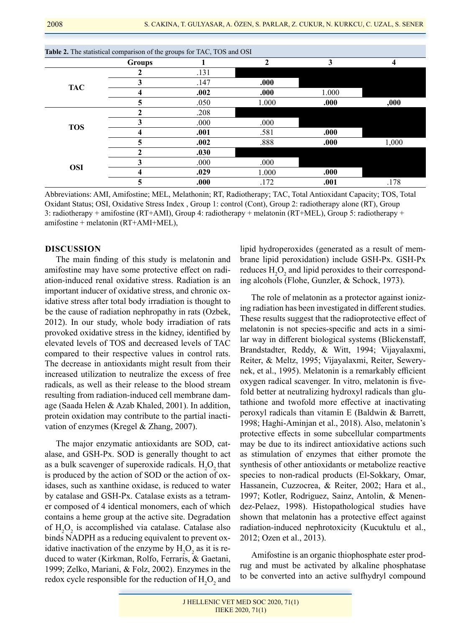| Table 2. The statistical comparison of the groups for TAC, TOS and OSI |               |      |       |       |       |  |  |  |  |
|------------------------------------------------------------------------|---------------|------|-------|-------|-------|--|--|--|--|
|                                                                        | <b>Groups</b> |      |       | 3     | 4     |  |  |  |  |
|                                                                        |               | .131 |       |       |       |  |  |  |  |
| <b>TAC</b>                                                             | 3             | .147 | .000  |       |       |  |  |  |  |
|                                                                        | 4             | .002 | .000  | 1.000 |       |  |  |  |  |
|                                                                        | 5             | .050 | 1.000 | .000  | ,000  |  |  |  |  |
|                                                                        |               | .208 |       |       |       |  |  |  |  |
| <b>TOS</b>                                                             | 3             | .000 | .000  |       |       |  |  |  |  |
|                                                                        | 4             | .001 | .581  | .000  |       |  |  |  |  |
|                                                                        | 5             | .002 | .888  | .000  | 1,000 |  |  |  |  |
|                                                                        | ↑             | .030 |       |       |       |  |  |  |  |
| <b>OSI</b>                                                             | 3             | .000 | .000  |       |       |  |  |  |  |
|                                                                        | 4             | .029 | 1.000 | .000  |       |  |  |  |  |
|                                                                        | 5             | .000 | .172  | .001  | .178  |  |  |  |  |

Abbreviations: AMI, Amifostine; MEL, Melathonin; RT, Radiotherapy; TAC, Total Antioxidant Capacity; TOS, Total Oxidant Status; OSI, Oxidative Stress Index , Group 1: control (Cont), Group 2: radiotherapy alone (RT), Group 3: radiotherapy + amifostine (RT+AMI), Group 4: radiotherapy + melatonin (RT+MEL), Group 5: radiotherapy + amifostine + melatonin (RT+AMI+MEL),

### **DISCUSSION**

The main finding of this study is melatonin and amifostine may have some protective effect on radiation-induced renal oxidative stress. Radiation is an important inducer of oxidative stress, and chronic oxidative stress after total body irradiation is thought to be the cause of radiation nephropathy in rats (Ozbek, 2012). In our study, whole body irradiation of rats provoked oxidative stress in the kidney, identified by elevated levels of TOS and decreased levels of TAC compared to their respective values in control rats. The decrease in antioxidants might result from their increased utilization to neutralize the excess of free radicals, as well as their release to the blood stream resulting from radiation-induced cell membrane damage (Saada Helen & Azab Khaled, 2001). In addition, protein oxidation may contribute to the partial inactivation of enzymes (Kregel & Zhang, 2007).

The major enzymatic antioxidants are SOD, catalase, and GSH-Px. SOD is generally thought to act as a bulk scavenger of superoxide radicals.  $H_2O_2$  that is produced by the action of SOD or the action of oxidases, such as xanthine oxidase, is reduced to water by catalase and GSH-Px. Catalase exists as a tetramer composed of 4 identical monomers, each of which contains a heme group at the active site. Degradation of  $H_2O_2$  is accomplished via catalase. Catalase also binds NADPH as a reducing equivalent to prevent oxidative inactivation of the enzyme by  $H_2O_2$  as it is reduced to water (Kirkman, Rolfo, Ferraris, & Gaetani, 1999; Zelko, Mariani, & Folz, 2002). Enzymes in the redox cycle responsible for the reduction of  $H_2O_2$  and

lipid hydroperoxides (generated as a result of membrane lipid peroxidation) include GSH-Px. GSH-Px reduces  $H_2O_2$  and lipid peroxides to their corresponding alcohols (Flohe, Gunzler, & Schock, 1973).

The role of melatonin as a protector against ionizing radiation has been investigated in different studies. These results suggest that the radioprotective effect of melatonin is not species-specific and acts in a similar way in different biological systems (Blickenstaff, Brandstadter, Reddy, & Witt, 1994; Vijayalaxmi, Reiter, & Meltz, 1995; Vijayalaxmi, Reiter, Sewerynek, et al., 1995). Melatonin is a remarkably efficient oxygen radical scavenger. In vitro, melatonin is fivefold better at neutralizing hydroxyl radicals than glutathione and twofold more effective at inactivating peroxyl radicals than vitamin E (Baldwin & Barrett, 1998; Haghi-Aminjan et al., 2018). Also, melatonin's protective effects in some subcellular compartments may be due to its indirect antioxidative actions such as stimulation of enzymes that either promote the synthesis of other antioxidants or metabolize reactive species to non-radical products (El-Sokkary, Omar, Hassanein, Cuzzocrea, & Reiter, 2002; Hara et al., 1997; Kotler, Rodriguez, Sainz, Antolin, & Menendez-Pelaez, 1998). Histopathological studies have shown that melatonin has a protective effect against radiation-induced nephrotoxicity (Kucuktulu et al., 2012; Ozen et al., 2013).

Amifostine is an organic thiophosphate ester prodrug and must be activated by alkaline phosphatase to be converted into an active sulfhydryl compound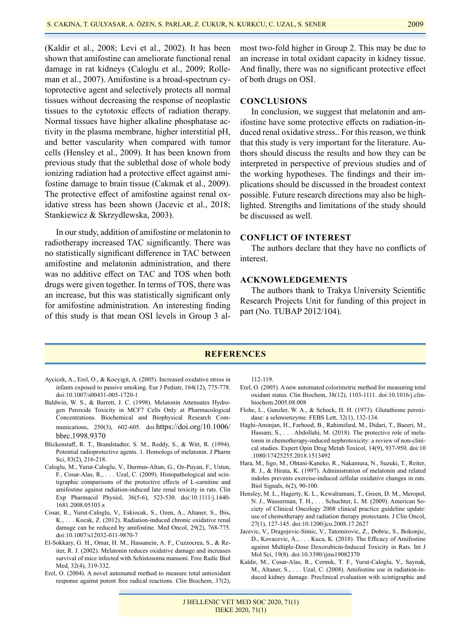(Kaldir et al., 2008; Levi et al., 2002). It has been shown that amifostine can ameliorate functional renal damage in rat kidneys (Caloglu et al., 2009; Rolleman et al., 2007). Amifostine is a broad-spectrum cytoprotective agent and selectively protects all normal tissues without decreasing the response of neoplastic tissues to the cytotoxic effects of radiation therapy. Normal tissues have higher alkaline phosphatase activity in the plasma membrane, higher interstitial pH, and better vascularity when compared with tumor cells (Hensley et al., 2009). It has been known from previous study that the sublethal dose of whole body ionizing radiation had a protective effect against amifostine damage to brain tissue (Cakmak et al., 2009). The protective effect of amifostine against renal oxidative stress has been shown (Jacevic et al., 2018; Stankiewicz & Skrzydlewska, 2003).

In our study, addition of amifostine or melatonin to radiotherapy increased TAC significantly. There was no statistically significant difference in TAC between amifostine and melatonin administration, and there was no additive effect on TAC and TOS when both drugs were given together. In terms of TOS, there was an increase, but this was statistically significant only for amifostine administration. An interesting finding of this study is that mean OSI levels in Group 3 almost two-fold higher in Group 2. This may be due to an increase in total oxidant capacity in kidney tissue. And finally, there was no significant protective effect of both drugs on OSI.

#### **CONCLUSIONS**

In conclusion, we suggest that melatonin and amifostine have some protective effects on radiation-induced renal oxidative stress.. For this reason, we think that this study is very important for the literature. Authors should discuss the results and how they can be interpreted in perspective of previous studies and of the working hypotheses. The findings and their implications should be discussed in the broadest context possible. Future research directions may also be highlighted. Strengths and limitations of the study should be discussed as well.

## **CONFLICT OF INTEREST**

The authors declare that they have no conflicts of interest.

## **ACKNOWLEDGEMENTS**

The authors thank to Trakya University Scientific Research Projects Unit for funding of this project in part (No. TUBAP 2012/104).

## **REFERENCES**

- Aycicek, A., Erel, O., & Kocyigit, A. (2005). Increased oxidative stress in infants exposed to passive smoking. Eur J Pediatr, 164(12), 775-778. doi:10.1007/s00431-005-1720-1
- Baldwin, W. S., & Barrett, J. C. (1998). Melatonin Attenuates Hydrogen Peroxide Toxicity in MCF7 Cells Only at Pharmacological Concentrations. Biochemical and Biophysical Research Communications, 250(3), 602-605. doi:https://doi.org/10.1006/ bbrc.1998.9370
- Blickenstaff, R. T., Brandstadter, S. M., Reddy, S., & Witt, R. (1994). Potential radioprotective agents. 1. Homologs of melatonin. J Pharm Sci, 83(2), 216-218.
- Caloglu, M., Yurut-Caloglu, V., Durmus-Altun, G., Oz-Puyan, F., Ustun, F., Cosar-Alas, R., . . . Uzal, C. (2009). Histopathological and scintigraphic comparisons of the protective effects of L-carnitine and amifostine against radiation-induced late renal toxicity in rats. Clin Exp Pharmacol Physiol, 36(5-6), 523-530. doi:10.1111/j.1440- 1681.2008.05103.x
- Cosar, R., Yurut-Caloglu, V., Eskiocak, S., Ozen, A., Altaner, S., Ibis, K., . . . Kocak, Z. (2012). Radiation-induced chronic oxidative renal damage can be reduced by amifostine. Med Oncol, 29(2), 768-775. doi:10.1007/s12032-011-9870-7
- El-Sokkary, G. H., Omar, H. M., Hassanein, A. F., Cuzzocrea, S., & Reiter, R. J. (2002). Melatonin reduces oxidative damage and increases survival of mice infected with Schistosoma mansoni. Free Radic Biol Med, 32(4), 319-332.
- Erel, O. (2004). A novel automated method to measure total antioxidant response against potent free radical reactions. Clin Biochem, 37(2),

112-119.

- Erel, O. (2005). A new automated colorimetric method for measuring total oxidant status. Clin Biochem, 38(12), 1103-1111. doi:10.1016/j.clinbiochem.2005.08.008
- Flohe, L., Gunzler, W. A., & Schock, H. H. (1973). Glutathione peroxidase: a selenoenzyme. FEBS Lett, 32(1), 132-134.
- Haghi-Aminjan, H., Farhood, B., Rahimifard, M., Didari, T., Baeeri, M., Hassani, S., . . . Abdollahi, M. (2018). The protective role of melatonin in chemotherapy-induced nephrotoxicity: a review of non-clinical studies. Expert Opin Drug Metab Toxicol, 14(9), 937-950. doi:10 .1080/17425255.2018.1513492
- Hara, M., Iigo, M., Ohtani-Kaneko, R., Nakamura, N., Suzuki, T., Reiter, R. J., & Hirata, K. (1997). Administration of melatonin and related indoles prevents exercise-induced cellular oxidative changes in rats. Biol Signals, 6(2), 90-100.
- Hensley, M. L., Hagerty, K. L., Kewalramani, T., Green, D. M., Meropol, N. J., Wasserman, T. H., . . . Schuchter, L. M. (2009). American Society of Clinical Oncology 2008 clinical practice guideline update: use of chemotherapy and radiation therapy protectants. J Clin Oncol, 27(1), 127-145. doi:10.1200/jco.2008.17.2627
- Jacevic, V., Dragojevic-Simic, V., Tatomirovic, Z., Dobric, S., Bokonjic, D., Kovacevic, A., . . . Kuca, K. (2018). The Efficacy of Amifostine against Multiple-Dose Doxorubicin-Induced Toxicity in Rats. Int J Mol Sci, 19(8). doi:10.3390/ijms19082370
- Kaldir, M., Cosar-Alas, R., Cermik, T. F., Yurut-Caloglu, V., Saynak, M., Altaner, S., . . . Uzal, C. (2008). Amifostine use in radiation-induced kidney damage. Preclinical evaluation with scintigraphic and

J HELLENIC VET MED SOC 2020, 71(1) ΠΕΚΕ 2020, 71(1)